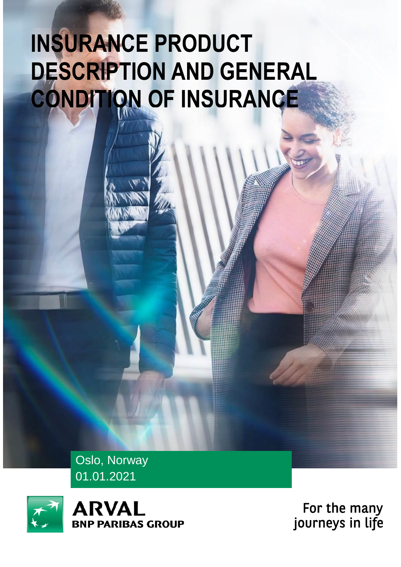# **INSURANCE PRODUCT DESCRIPTION AND GENERAL CONDITION OF INSURANCE**

Oslo, Norway 01.01.2021



**ARVAL PARIBAS GROUP** 

For the many<br>journeys in life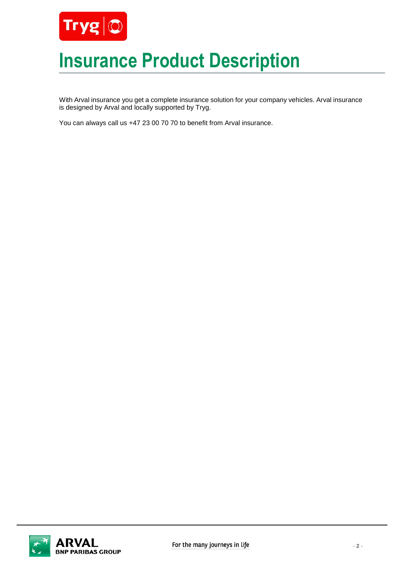

# **Insurance Product Description**

With Arval insurance you get a complete insurance solution for your company vehicles. Arval insurance is designed by Arval and locally supported by Tryg.

You can always call us +47 23 00 70 70 to benefit from Arval insurance.

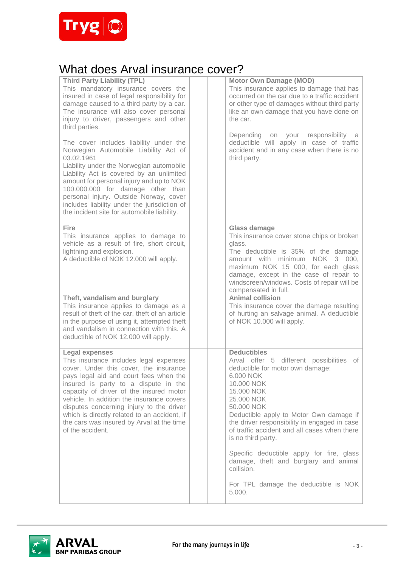

# What does Arval insurance cover?

| <b>Third Party Liability (TPL)</b><br>This mandatory insurance covers the<br>insured in case of legal responsibility for<br>damage caused to a third party by a car.<br>The insurance will also cover personal<br>injury to driver, passengers and other<br>third parties.<br>The cover includes liability under the<br>Norwegian Automobile Liability Act of<br>03.02.1961<br>Liability under the Norwegian automobile<br>Liability Act is covered by an unlimited<br>amount for personal injury and up to NOK<br>100.000.000 for damage other than<br>personal injury. Outside Norway, cover |  | <b>Motor Own Damage (MOD)</b><br>This insurance applies to damage that has<br>occurred on the car due to a traffic accident<br>or other type of damages without third party<br>like an own damage that you have done on<br>the car.<br>Depending on your responsibility<br>a<br>deductible will apply in case of traffic<br>accident and in any case when there is no<br>third party.                                                                                                             |
|------------------------------------------------------------------------------------------------------------------------------------------------------------------------------------------------------------------------------------------------------------------------------------------------------------------------------------------------------------------------------------------------------------------------------------------------------------------------------------------------------------------------------------------------------------------------------------------------|--|---------------------------------------------------------------------------------------------------------------------------------------------------------------------------------------------------------------------------------------------------------------------------------------------------------------------------------------------------------------------------------------------------------------------------------------------------------------------------------------------------|
| includes liability under the jurisdiction of<br>the incident site for automobile liability.                                                                                                                                                                                                                                                                                                                                                                                                                                                                                                    |  |                                                                                                                                                                                                                                                                                                                                                                                                                                                                                                   |
| Fire<br>This insurance applies to damage to<br>vehicle as a result of fire, short circuit,<br>lightning and explosion.<br>A deductible of NOK 12.000 will apply.                                                                                                                                                                                                                                                                                                                                                                                                                               |  | <b>Glass damage</b><br>This insurance cover stone chips or broken<br>glass.<br>The deductible is 35% of the damage<br>amount with minimum NOK 3 000,<br>maximum NOK 15 000, for each glass<br>damage, except in the case of repair to<br>windscreen/windows. Costs of repair will be<br>compensated in full.                                                                                                                                                                                      |
| Theft, vandalism and burglary<br>This insurance applies to damage as a<br>result of theft of the car, theft of an article<br>in the purpose of using it, attempted theft<br>and vandalism in connection with this. A<br>deductible of NOK 12.000 will apply.                                                                                                                                                                                                                                                                                                                                   |  | <b>Animal collision</b><br>This insurance cover the damage resulting<br>of hurting an salvage animal. A deductible<br>of NOK 10.000 will apply.                                                                                                                                                                                                                                                                                                                                                   |
| <b>Legal expenses</b><br>This insurance includes legal expenses<br>cover. Under this cover, the insurance<br>pays legal aid and court fees when the<br>insured is party to a dispute in the<br>capacity of driver of the insured motor<br>vehicle. In addition the insurance covers<br>disputes concerning injury to the driver<br>which is directly related to an accident, if<br>the cars was insured by Arval at the time<br>of the accident.                                                                                                                                               |  | <b>Deductibles</b><br>Arval offer 5 different possibilities<br>of<br>deductible for motor own damage:<br>6.000 NOK<br>10.000 NOK<br>15.000 NOK<br>25.000 NOK<br>50,000 NOK<br>Deductible apply to Motor Own damage if<br>the driver responsibility in engaged in case<br>of traffic accident and all cases when there<br>is no third party.<br>Specific deductible apply for fire, glass<br>damage, theft and burglary and animal<br>collision.<br>For TPL damage the deductible is NOK<br>5.000. |

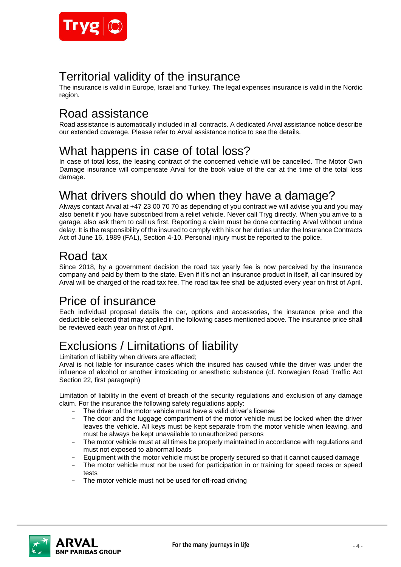

# Territorial validity of the insurance

The insurance is valid in Europe, Israel and Turkey. The legal expenses insurance is valid in the Nordic region.

# Road assistance

Road assistance is automatically included in all contracts. A dedicated Arval assistance notice describe our extended coverage. Please refer to Arval assistance notice to see the details.

# What happens in case of total loss?

In case of total loss, the leasing contract of the concerned vehicle will be cancelled. The Motor Own Damage insurance will compensate Arval for the book value of the car at the time of the total loss damage.

# What drivers should do when they have a damage?

Always contact Arval at +47 23 00 70 70 as depending of you contract we will advise you and you may also benefit if you have subscribed from a relief vehicle. Never call Tryg directly. When you arrive to a garage, also ask them to call us first. Reporting a claim must be done contacting Arval without undue delay. It is the responsibility of the insured to comply with his or her duties under the Insurance Contracts Act of June 16, 1989 (FAL), Section 4-10. Personal injury must be reported to the police.

# Road tax

Since 2018, by a government decision the road tax yearly fee is now perceived by the insurance company and paid by them to the state. Even if it's not an insurance product in itself, all car insured by Arval will be charged of the road tax fee. The road tax fee shall be adjusted every year on first of April.

# Price of insurance

Each individual proposal details the car, options and accessories, the insurance price and the deductible selected that may applied in the following cases mentioned above. The insurance price shall be reviewed each year on first of April.

# Exclusions / Limitations of liability

Limitation of liability when drivers are affected;

Arval is not liable for insurance cases which the insured has caused while the driver was under the influence of alcohol or another intoxicating or anesthetic substance (cf. Norwegian Road Traffic Act Section 22, first paragraph)

Limitation of liability in the event of breach of the security regulations and exclusion of any damage claim. For the insurance the following safety regulations apply:

- The driver of the motor vehicle must have a valid driver's license<br>- The door and the luggage compartment of the motor vehicle must
- The door and the luggage compartment of the motor vehicle must be locked when the driver leaves the vehicle. All keys must be kept separate from the motor vehicle when leaving, and must be always be kept unavailable to unauthorized persons
- The motor vehicle must at all times be properly maintained in accordance with regulations and must not exposed to abnormal loads
- Equipment with the motor vehicle must be properly secured so that it cannot caused damage
- The motor vehicle must not be used for participation in or training for speed races or speed tests
- The motor vehicle must not be used for off-road driving

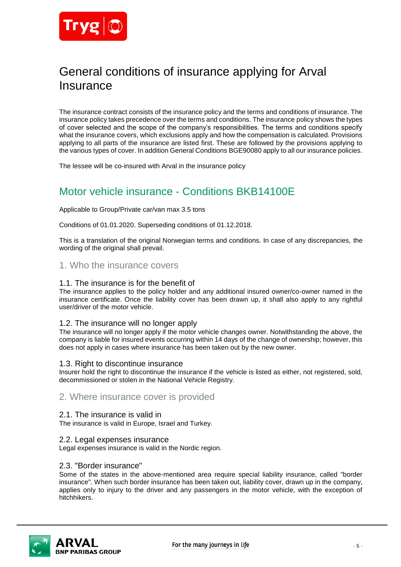

# General conditions of insurance applying for Arval **Insurance**

The insurance contract consists of the insurance policy and the terms and conditions of insurance. The insurance policy takes precedence over the terms and conditions. The insurance policy shows the types of cover selected and the scope of the company's responsibilities. The terms and conditions specify what the insurance covers, which exclusions apply and how the compensation is calculated. Provisions applying to all parts of the insurance are listed first. These are followed by the provisions applying to the various types of cover. In addition General Conditions BGE90080 apply to all our insurance policies.

The lessee will be co-insured with Arval in the insurance policy

# Motor vehicle insurance - Conditions BKB14100E

#### Applicable to Group/Private car/van max 3.5 tons

Conditions of 01.01.2020. Superseding conditions of 01.12.2018.

This is a translation of the original Norwegian terms and conditions. In case of any discrepancies, the wording of the original shall prevail.

# 1. Who the insurance covers

#### 1.1. The insurance is for the benefit of

The insurance applies to the policy holder and any additional insured owner/co-owner named in the insurance certificate. Once the liability cover has been drawn up, it shall also apply to any rightful user/driver of the motor vehicle.

### 1.2. The insurance will no longer apply

The insurance will no longer apply if the motor vehicle changes owner. Notwithstanding the above, the company is liable for insured events occurring within 14 days of the change of ownership; however, this does not apply in cases where insurance has been taken out by the new owner.

### 1.3. Right to discontinue insurance

Insurer hold the right to discontinue the insurance if the vehicle is listed as either, not registered, sold, decommissioned or stolen in the National Vehicle Registry.

# 2. Where insurance cover is provided

### 2.1. The insurance is valid in

The insurance is valid in Europe, Israel and Turkey.

### 2.2. Legal expenses insurance

Legal expenses insurance is valid in the Nordic region.

### 2.3. "Border insurance"

Some of the states in the above-mentioned area require special liability insurance, called "border insurance". When such border insurance has been taken out, liability cover, drawn up in the company, applies only to injury to the driver and any passengers in the motor vehicle, with the exception of hitchhikers.

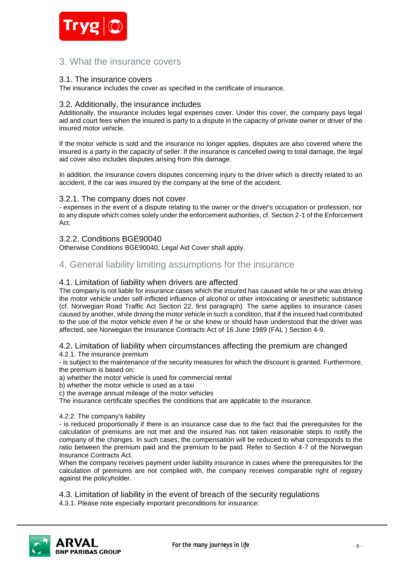

# 3. What the insurance covers

## 3.1. The insurance covers

The insurance includes the cover as specified in the certificate of insurance.

## 3.2. Additionally, the insurance includes

Additionally, the insurance includes legal expenses cover. Under this cover, the company pays legal aid and court fees when the insured is party to a dispute in the capacity of private owner or driver of the insured motor vehicle.

If the motor vehicle is sold and the insurance no longer applies, disputes are also covered where the insured is a party in the capacity of seller. If the insurance is cancelled owing to total damage, the legal aid cover also includes disputes arising from this damage.

In addition, the insurance covers disputes concerning injury to the driver which is directly related to an accident, if the car was insured by the company at the time of the accident.

## 3.2.1. The company does not cover

- expenses in the event of a dispute relating to the owner or the driver's occupation or profession, nor to any dispute which comes solely under the enforcement authorities, cf. Section 2-1 of the Enforcement Act.

## 3.2.2. Conditions BGE90040

Otherwise Conditions BGE90040, Legal Aid Cover shall apply.

# 4. General liability limiting assumptions for the insurance

## 4.1. Limitation of liability when drivers are affected

The company is not liable for insurance cases which the insured has caused while he or she was driving the motor vehicle under self-inflicted influence of alcohol or other intoxicating or anesthetic substance (cf. Norwegian Road Traffic Act Section 22, first paragraph). The same applies to insurance cases caused by another, while driving the motor vehicle in such a condition, that if the insured had contributed to the use of the motor vehicle even if he or she knew or should have understood that the driver was affected, see Norwegian the Insurance Contracts Act of 16 June 1989 (FAL ) Section 4-9.

### 4.2. Limitation of liability when circumstances affecting the premium are changed 4.2.1. The insurance premium

- is subject to the maintenance of the security measures for which the discount is granted. Furthermore, the premium is based on:

a) whether the motor vehicle is used for commercial rental

b) whether the motor vehicle is used as a taxi

c) the average annual mileage of the motor vehicles

The insurance certificate specifies the conditions that are applicable to the insurance.

### 4.2.2. The company's liability

- is reduced proportionally if there is an insurance case due to the fact that the prerequisites for the calculation of premiums are not met and the insured has not taken reasonable steps to notify the company of the changes. In such cases, the compensation will be reduced to what corresponds to the ratio between the premium paid and the premium to be paid. Refer to Section 4-7 of the Norwegian Insurance Contracts Act.

When the company receives payment under liability insurance in cases where the prerequisites for the calculation of premiums are not complied with, the company receives comparable right of registry against the policyholder.

4.3. Limitation of liability in the event of breach of the security regulations 4.3.1. Please note especially important preconditions for insurance:

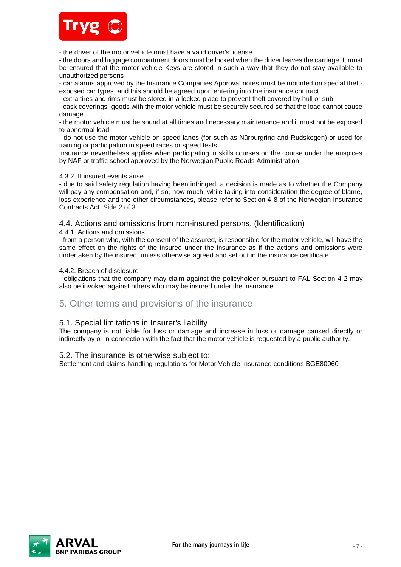

- the driver of the motor vehicle must have a valid driver's license

- the doors and luggage compartment doors must be locked when the driver leaves the carriage. It must be ensured that the motor vehicle Keys are stored in such a way that they do not stay available to unauthorized persons

- car alarms approved by the Insurance Companies Approval notes must be mounted on special theftexposed car types, and this should be agreed upon entering into the insurance contract

- extra tires and rims must be stored in a locked place to prevent theft covered by hull or sub

- cask coverings- goods with the motor vehicle must be securely secured so that the load cannot cause damage

- the motor vehicle must be sound at all times and necessary maintenance and it must not be exposed to abnormal load

- do not use the motor vehicle on speed lanes (for such as Nürburgring and Rudskogen) or used for training or participation in speed races or speed tests.

Insurance nevertheless applies when participating in skills courses on the course under the auspices by NAF or traffic school approved by the Norwegian Public Roads Administration.

### 4.3.2. If insured events arise

- due to said safety regulation having been infringed, a decision is made as to whether the Company will pay any compensation and, if so, how much, while taking into consideration the degree of blame, loss experience and the other circumstances, please refer to Section 4-8 of the Norwegian Insurance Contracts Act. Side 2 of 3

## 4.4. Actions and omissions from non-insured persons. (Identification)

4.4.1. Actions and omissions

- from a person who, with the consent of the assured, is responsible for the motor vehicle, will have the same effect on the rights of the insured under the insurance as if the actions and omissions were undertaken by the insured, unless otherwise agreed and set out in the insurance certificate.

#### 4.4.2. Breach of disclosure

- obligations that the company may claim against the policyholder pursuant to FAL Section 4-2 may also be invoked against others who may be insured under the insurance.

# 5. Other terms and provisions of the insurance

### 5.1. Special limitations in Insurer's liability

The company is not liable for loss or damage and increase in loss or damage caused directly or indirectly by or in connection with the fact that the motor vehicle is requested by a public authority.

### 5.2. The insurance is otherwise subject to:

Settlement and claims handling regulations for Motor Vehicle Insurance conditions BGE80060

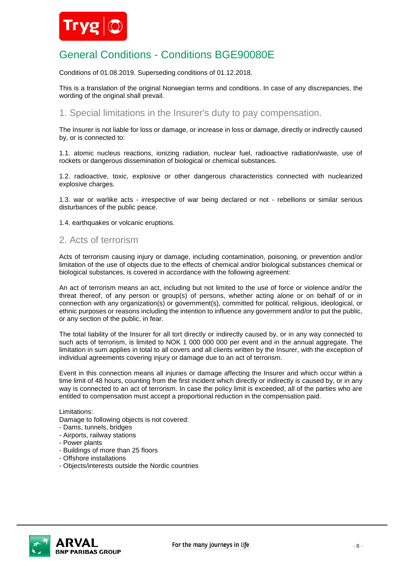

# General Conditions - Conditions BGE90080E

Conditions of 01.08.2019. Superseding conditions of 01.12.2018.

This is a translation of the original Norwegian terms and conditions. In case of any discrepancies, the wording of the original shall prevail.

# 1. Special limitations in the Insurer's duty to pay compensation.

The Insurer is not liable for loss or damage, or increase in loss or damage, directly or indirectly caused by, or is connected to:

1.1. atomic nucleus reactions, ionizing radiation, nuclear fuel, radioactive radiation/waste, use of rockets or dangerous dissemination of biological or chemical substances.

1.2. radioactive, toxic, explosive or other dangerous characteristics connected with nuclearized explosive charges.

1.3. war or warlike acts - irrespective of war being declared or not - rebellions or similar serious disturbances of the public peace.

1.4. earthquakes or volcanic eruptions.

# 2. Acts of terrorism

Acts of terrorism causing injury or damage, including contamination, poisoning, or prevention and/or limitation of the use of objects due to the effects of chemical and/or biological substances chemical or biological substances, is covered in accordance with the following agreement:

An act of terrorism means an act, including but not limited to the use of force or violence and/or the threat thereof, of any person or group(s) of persons, whether acting alone or on behalf of or in connection with any organization(s) or government(s), committed for political, religious, ideological, or ethnic purposes or reasons including the intention to influence any government and/or to put the public, or any section of the public, in fear.

The total liability of the Insurer for all tort directly or indirectly caused by, or in any way connected to such acts of terrorism, is limited to NOK 1 000 000 000 per event and in the annual aggregate. The limitation in sum applies in total to all covers and all clients written by the Insurer, with the exception of individual agreements covering injury or damage due to an act of terrorism.

Event in this connection means all injuries or damage affecting the Insurer and which occur within a time limit of 48 hours, counting from the first incident which directly or indirectly is caused by, or in any way is connected to an act of terrorism. In case the policy limit is exceeded, all of the parties who are entitled to compensation must accept a proportional reduction in the compensation paid.

#### Limitations:

Damage to following objects is not covered:

- Dams, tunnels, bridges
- Airports, railway stations
- Power plants
- Buildings of more than 25 floors
- Offshore installations
- Objects/interests outside the Nordic countries

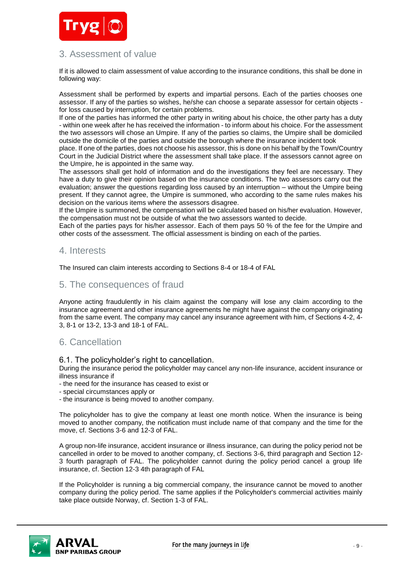

# 3. Assessment of value

If it is allowed to claim assessment of value according to the insurance conditions, this shall be done in following way:

Assessment shall be performed by experts and impartial persons. Each of the parties chooses one assessor. If any of the parties so wishes, he/she can choose a separate assessor for certain objects for loss caused by interruption, for certain problems.

If one of the parties has informed the other party in writing about his choice, the other party has a duty - within one week after he has received the information - to inform about his choice. For the assessment the two assessors will chose an Umpire. If any of the parties so claims, the Umpire shall be domiciled outside the domicile of the parties and outside the borough where the insurance incident took

place. If one of the parties, does not choose his assessor, this is done on his behalf by the Town/Country Court in the Judicial District where the assessment shall take place. If the assessors cannot agree on the Umpire, he is appointed in the same way.

The assessors shall get hold of information and do the investigations they feel are necessary. They have a duty to give their opinion based on the insurance conditions. The two assessors carry out the evaluation; answer the questions regarding loss caused by an interruption – without the Umpire being present. If they cannot agree, the Umpire is summoned, who according to the same rules makes his decision on the various items where the assessors disagree.

If the Umpire is summoned, the compensation will be calculated based on his/her evaluation. However, the compensation must not be outside of what the two assessors wanted to decide.

Each of the parties pays for his/her assessor. Each of them pays 50 % of the fee for the Umpire and other costs of the assessment. The official assessment is binding on each of the parties.

# 4. Interests

The Insured can claim interests according to Sections 8-4 or 18-4 of FAL

# 5. The consequences of fraud

Anyone acting fraudulently in his claim against the company will lose any claim according to the insurance agreement and other insurance agreements he might have against the company originating from the same event. The company may cancel any insurance agreement with him, cf Sections 4-2, 4- 3, 8-1 or 13-2, 13-3 and 18-1 of FAL.

# 6. Cancellation

6.1. The policyholder's right to cancellation.

During the insurance period the policyholder may cancel any non-life insurance, accident insurance or illness insurance if

- the need for the insurance has ceased to exist or

- special circumstances apply or
- the insurance is being moved to another company.

The policyholder has to give the company at least one month notice. When the insurance is being moved to another company, the notification must include name of that company and the time for the move, cf. Sections 3-6 and 12-3 of FAL.

A group non-life insurance, accident insurance or illness insurance, can during the policy period not be cancelled in order to be moved to another company, cf. Sections 3-6, third paragraph and Section 12- 3 fourth paragraph of FAL. The policyholder cannot during the policy period cancel a group life insurance, cf. Section 12-3 4th paragraph of FAL

If the Policyholder is running a big commercial company, the insurance cannot be moved to another company during the policy period. The same applies if the Policyholder's commercial activities mainly take place outside Norway, cf. Section 1-3 of FAL.

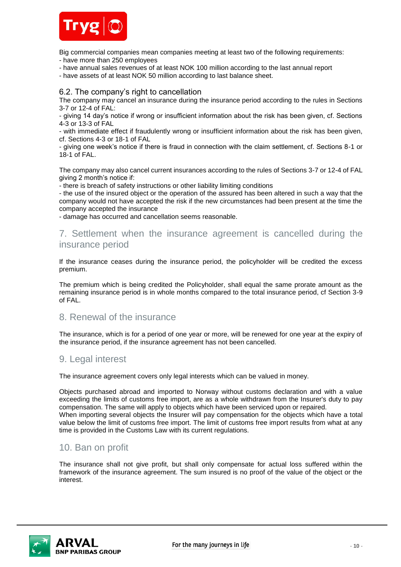

Big commercial companies mean companies meeting at least two of the following requirements:

- have more than 250 employees
- have annual sales revenues of at least NOK 100 million according to the last annual report
- have assets of at least NOK 50 million according to last balance sheet.

## 6.2. The company's right to cancellation

The company may cancel an insurance during the insurance period according to the rules in Sections 3-7 or 12-4 of FAL:

- giving 14 day's notice if wrong or insufficient information about the risk has been given, cf. Sections 4-3 or 13-3 of FAL

- with immediate effect if fraudulently wrong or insufficient information about the risk has been given, cf. Sections 4-3 or 18-1 of FAL

- giving one week's notice if there is fraud in connection with the claim settlement, cf. Sections 8-1 or 18-1 of FAL.

The company may also cancel current insurances according to the rules of Sections 3-7 or 12-4 of FAL giving 2 month's notice if:

- there is breach of safety instructions or other liability limiting conditions

- the use of the insured object or the operation of the assured has been altered in such a way that the company would not have accepted the risk if the new circumstances had been present at the time the company accepted the insurance

- damage has occurred and cancellation seems reasonable.

# 7. Settlement when the insurance agreement is cancelled during the insurance period

If the insurance ceases during the insurance period, the policyholder will be credited the excess premium.

The premium which is being credited the Policyholder, shall equal the same prorate amount as the remaining insurance period is in whole months compared to the total insurance period, cf Section 3-9 of FAL.

# 8. Renewal of the insurance

The insurance, which is for a period of one year or more, will be renewed for one year at the expiry of the insurance period, if the insurance agreement has not been cancelled.

# 9. Legal interest

The insurance agreement covers only legal interests which can be valued in money.

Objects purchased abroad and imported to Norway without customs declaration and with a value exceeding the limits of customs free import, are as a whole withdrawn from the Insurer's duty to pay compensation. The same will apply to objects which have been serviced upon or repaired. When importing several objects the Insurer will pay compensation for the objects which have a total value below the limit of customs free import. The limit of customs free import results from what at any time is provided in the Customs Law with its current regulations.

# 10. Ban on profit

The insurance shall not give profit, but shall only compensate for actual loss suffered within the framework of the insurance agreement. The sum insured is no proof of the value of the object or the interest.

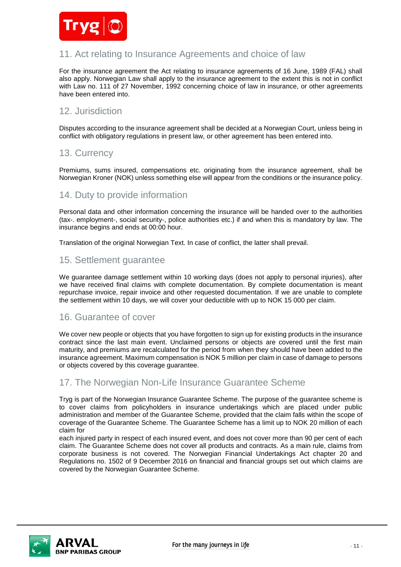

# 11. Act relating to Insurance Agreements and choice of law

For the insurance agreement the Act relating to insurance agreements of 16 June, 1989 (FAL) shall also apply. Norwegian Law shall apply to the insurance agreement to the extent this is not in conflict with Law no. 111 of 27 November, 1992 concerning choice of law in insurance, or other agreements have been entered into.

# 12. Jurisdiction

Disputes according to the insurance agreement shall be decided at a Norwegian Court, unless being in conflict with obligatory regulations in present law, or other agreement has been entered into.

# 13. Currency

Premiums, sums insured, compensations etc. originating from the insurance agreement, shall be Norwegian Kroner (NOK) unless something else will appear from the conditions or the insurance policy.

# 14. Duty to provide information

Personal data and other information concerning the insurance will be handed over to the authorities (tax-. employment-, social security-, police authorities etc.) if and when this is mandatory by law. The insurance begins and ends at 00:00 hour.

Translation of the original Norwegian Text. In case of conflict, the latter shall prevail.

# 15. Settlement guarantee

We guarantee damage settlement within 10 working days (does not apply to personal injuries), after we have received final claims with complete documentation. By complete documentation is meant repurchase invoice, repair invoice and other requested documentation. If we are unable to complete the settlement within 10 days, we will cover your deductible with up to NOK 15 000 per claim.

# 16. Guarantee of cover

We cover new people or objects that you have forgotten to sign up for existing products in the insurance contract since the last main event. Unclaimed persons or objects are covered until the first main maturity, and premiums are recalculated for the period from when they should have been added to the insurance agreement. Maximum compensation is NOK 5 million per claim in case of damage to persons or objects covered by this coverage guarantee.

# 17. The Norwegian Non-Life Insurance Guarantee Scheme

Tryg is part of the Norwegian Insurance Guarantee Scheme. The purpose of the guarantee scheme is to cover claims from policyholders in insurance undertakings which are placed under public administration and member of the Guarantee Scheme, provided that the claim falls within the scope of coverage of the Guarantee Scheme. The Guarantee Scheme has a limit up to NOK 20 million of each claim for

each injured party in respect of each insured event, and does not cover more than 90 per cent of each claim. The Guarantee Scheme does not cover all products and contracts. As a main rule, claims from corporate business is not covered. The Norwegian Financial Undertakings Act chapter 20 and Regulations no. 1502 of 9 December 2016 on financial and financial groups set out which claims are covered by the Norwegian Guarantee Scheme.

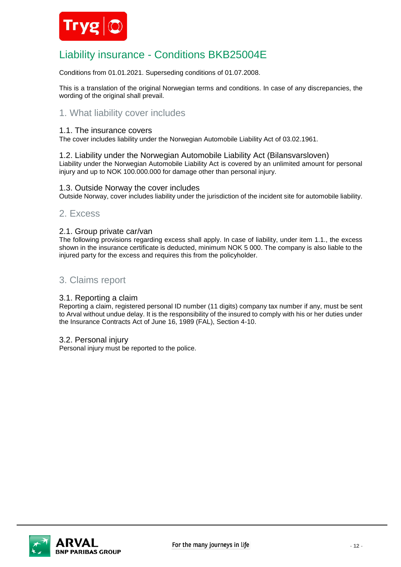

# Liability insurance - Conditions BKB25004E

Conditions from 01.01.2021. Superseding conditions of 01.07.2008.

This is a translation of the original Norwegian terms and conditions. In case of any discrepancies, the wording of the original shall prevail.

# 1. What liability cover includes

### 1.1. The insurance covers

The cover includes liability under the Norwegian Automobile Liability Act of 03.02.1961.

1.2. Liability under the Norwegian Automobile Liability Act (Bilansvarsloven) Liability under the Norwegian Automobile Liability Act is covered by an unlimited amount for personal injury and up to NOK 100.000.000 for damage other than personal injury.

### 1.3. Outside Norway the cover includes

Outside Norway, cover includes liability under the jurisdiction of the incident site for automobile liability.

## 2. Excess

### 2.1. Group private car/van

The following provisions regarding excess shall apply. In case of liability, under item 1.1., the excess shown in the insurance certificate is deducted, minimum NOK 5 000. The company is also liable to the injured party for the excess and requires this from the policyholder.

# 3. Claims report

### 3.1. Reporting a claim

Reporting a claim, registered personal ID number (11 digits) company tax number if any, must be sent to Arval without undue delay. It is the responsibility of the insured to comply with his or her duties under the Insurance Contracts Act of June 16, 1989 (FAL), Section 4-10.

### 3.2. Personal injury

Personal injury must be reported to the police.

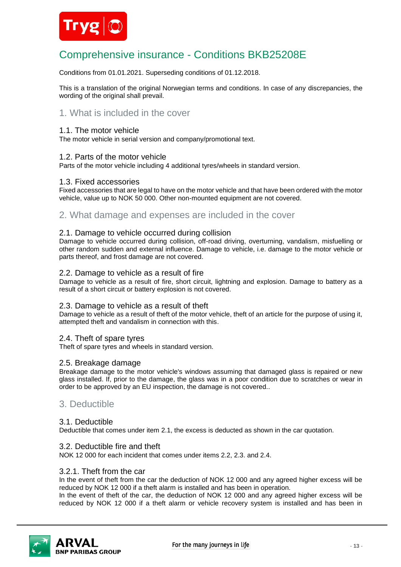

# Comprehensive insurance - Conditions BKB25208E

Conditions from 01.01.2021. Superseding conditions of 01.12.2018.

This is a translation of the original Norwegian terms and conditions. In case of any discrepancies, the wording of the original shall prevail.

# 1. What is included in the cover

### 1.1. The motor vehicle

The motor vehicle in serial version and company/promotional text.

## 1.2. Parts of the motor vehicle

Parts of the motor vehicle including 4 additional tyres/wheels in standard version.

#### 1.3. Fixed accessories

Fixed accessories that are legal to have on the motor vehicle and that have been ordered with the motor vehicle, value up to NOK 50 000. Other non-mounted equipment are not covered.

## 2. What damage and expenses are included in the cover

#### 2.1. Damage to vehicle occurred during collision

Damage to vehicle occurred during collision, off-road driving, overturning, vandalism, misfuelling or other random sudden and external influence. Damage to vehicle, i.e. damage to the motor vehicle or parts thereof, and frost damage are not covered.

## 2.2. Damage to vehicle as a result of fire

Damage to vehicle as a result of fire, short circuit, lightning and explosion. Damage to battery as a result of a short circuit or battery explosion is not covered.

### 2.3. Damage to vehicle as a result of theft

Damage to vehicle as a result of theft of the motor vehicle, theft of an article for the purpose of using it, attempted theft and vandalism in connection with this.

### 2.4. Theft of spare tyres

Theft of spare tyres and wheels in standard version.

### 2.5. Breakage damage

Breakage damage to the motor vehicle's windows assuming that damaged glass is repaired or new glass installed. If, prior to the damage, the glass was in a poor condition due to scratches or wear in order to be approved by an EU inspection, the damage is not covered..

# 3. Deductible

### 3.1. Deductible

Deductible that comes under item 2.1, the excess is deducted as shown in the car quotation.

#### 3.2. Deductible fire and theft

NOK 12 000 for each incident that comes under items 2.2, 2.3. and 2.4.

#### 3.2.1. Theft from the car

In the event of theft from the car the deduction of NOK 12 000 and any agreed higher excess will be reduced by NOK 12 000 if a theft alarm is installed and has been in operation.

In the event of theft of the car, the deduction of NOK 12 000 and any agreed higher excess will be reduced by NOK 12 000 if a theft alarm or vehicle recovery system is installed and has been in